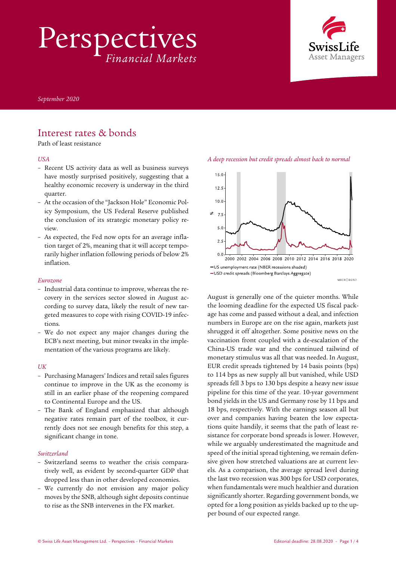Perspectives *Financial Markets*



*September 2020* 

# Interest rates & bonds

Path of least resistance

#### *USA*

- Recent US activity data as well as business surveys have mostly surprised positively, suggesting that a healthy economic recovery is underway in the third quarter.
- At the occasion of the "Jackson Hole" Economic Policy Symposium, the US Federal Reserve published the conclusion of its strategic monetary policy review.
- As expected, the Fed now opts for an average inflation target of 2%, meaning that it will accept temporarily higher inflation following periods of below 2% inflation.

#### *Eurozone*

- Industrial data continue to improve, whereas the recovery in the services sector slowed in August according to survey data, likely the result of new targeted measures to cope with rising COVID-19 infections.
- We do not expect any major changes during the ECB's next meeting, but minor tweaks in the implementation of the various programs are likely.

#### *UK*

- Purchasing Managers' Indices and retail sales figures continue to improve in the UK as the economy is still in an earlier phase of the reopening compared to Continental Europe and the US.
- The Bank of England emphasized that although negative rates remain part of the toolbox, it currently does not see enough benefits for this step, a significant change in tone.

#### *Switzerland*

- Switzerland seems to weather the crisis comparatively well, as evident by second-quarter GDP that dropped less than in other developed economies.
- We currently do not envision any major policy moves by the SNB, although sight deposits continue to rise as the SNB intervenes in the FX market.





MACROROND

August is generally one of the quieter months. While the looming deadline for the expected US fiscal package has come and passed without a deal, and infection numbers in Europe are on the rise again, markets just shrugged it off altogether. Some positive news on the vaccination front coupled with a de-escalation of the China-US trade war and the continued tailwind of monetary stimulus was all that was needed. In August, EUR credit spreads tightened by 14 basis points (bps) to 114 bps as new supply all but vanished, while USD spreads fell 3 bps to 130 bps despite a heavy new issue pipeline for this time of the year. 10-year government bond yields in the US and Germany rose by 11 bps and 18 bps, respectively. With the earnings season all but over and companies having beaten the low expectations quite handily, it seems that the path of least resistance for corporate bond spreads is lower. However, while we arguably underestimated the magnitude and speed of the initial spread tightening, we remain defensive given how stretched valuations are at current levels. As a comparison, the average spread level during the last two recession was 300 bps for USD corporates, when fundamentals were much healthier and duration significantly shorter. Regarding government bonds, we opted for a long position as yields backed up to the upper bound of our expected range.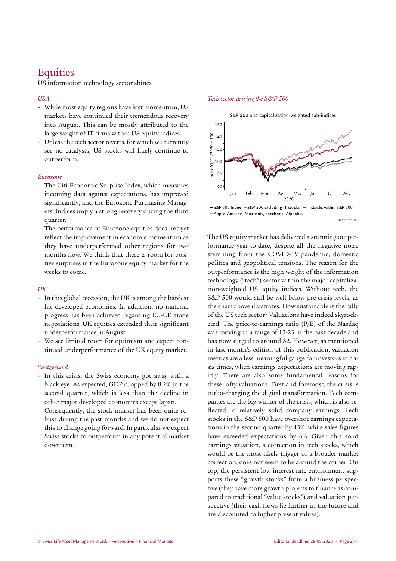# **Equities**

US information technology sector shines

### *USA*

- While most equity regions have lost momentum, US markets have continued their tremendous recovery into August. This can be mostly attributed to the large weight of IT firms within US equity indices.
- Unless the tech sector reverts, for which we currently see no catalysts, US stocks will likely continue to outperform.

#### *Eurozone*

- The Citi Economic Surprise Index, which measures incoming data against expectations, has improved significantly, and the Eurozone Purchasing Managers' Indices imply a strong recovery during the third quarter.
- The performance of Eurozone equities does not yet reflect the improvement in economic momentum as they have underperformed other regions for two months now. We think that there is room for positive surprises in the Eurozone equity market for the weeks to come.

### *UK*

- In this global recession, the UK is among the hardest hit developed economies. In addition, no material progress has been achieved regarding EU-UK trade negotiations. UK equities extended their significant underperformance in August.
- We see limited room for optimism and expect continued underperformance of the UK equity market.

### *Switzerland*

- In this crisis, the Swiss economy got away with a black eye. As expected, GDP dropped by 8.2% in the second quarter, which is less than the decline in other major developed economies except Japan.
- Consequently, the stock market has been quite robust during the past months and we do not expect this to change going forward. In particular we expect Swiss stocks to outperform in any potential market downturn.

### *Tech sector driving the S&P 500*



<sup>-</sup>S&P 500 Index -S&P 500 excluding IT stocks -IT stocks within S&P 500 -Apple, Amazon, Microsoft, Facebook, Alphabet MACROROND

The US equity market has delivered a stunning outperformance year-to-date, despite all the negative noise stemming from the COVID-19 pandemic, domestic politics and geopolitical tensions. The reason for the outperformance is the high weight of the information technology ("tech") sector within the major capitalization-weighted US equity indices. Without tech, the S&P 500 would still be well below pre-crisis levels, as the chart above illustrates. How sustainable is the rally of the US tech sector? Valuations have indeed skyrocketed. The price-to-earnings ratio (P/E) of the Nasdaq was moving in a range of 13-23 in the past decade and has now surged to around 32. However, as mentioned in last month's edition of this publication, valuation metrics are a less meaningful gauge for investors in crisis times, when earnings expectations are moving rapidly. There are also some fundamental reasons for these lofty valuations. First and foremost, the crisis is turbo-charging the digital transformation. Tech companies are the big winner of the crisis, which is also reflected in relatively solid company earnings. Tech stocks in the S&P 500 have overshot earnings expectations in the second quarter by 13%, while sales figures have exceeded expectations by 6%. Given this solid earnings situation, a correction in tech stocks, which would be the most likely trigger of a broader market correction, does not seem to be around the corner. On top, the persistent low interest rate environment supports these "growth stocks" from a business perspective (they have more growth projects to finance as compared to traditional "value stocks") and valuation perspective (their cash flows lie further in the future and are discounted to higher present values).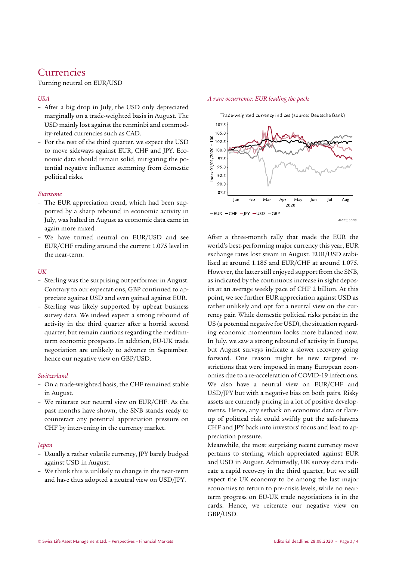# Currencies

Turning neutral on EUR/USD

## *USA*

- After a big drop in July, the USD only depreciated marginally on a trade-weighted basis in August. The USD mainly lost against the renminbi and commodity-related currencies such as CAD.
- For the rest of the third quarter, we expect the USD to move sideways against EUR, CHF and JPY. Economic data should remain solid, mitigating the potential negative influence stemming from domestic political risks.

### *Eurozone*

- The EUR appreciation trend, which had been supported by a sharp rebound in economic activity in July, was halted in August as economic data came in again more mixed.
- We have turned neutral on EUR/USD and see EUR/CHF trading around the current 1.075 level in the near-term.

## *UK*

- Sterling was the surprising outperformer in August. Contrary to our expectations, GBP continued to appreciate against USD and even gained against EUR.
- Sterling was likely supported by upbeat business survey data. We indeed expect a strong rebound of activity in the third quarter after a horrid second quarter, but remain cautious regarding the mediumterm economic prospects. In addition, EU-UK trade negotiation are unlikely to advance in September, hence our negative view on GBP/USD.

## *Switzerland*

- On a trade-weighted basis, the CHF remained stable in August.
- We reiterate our neutral view on EUR/CHF. As the past months have shown, the SNB stands ready to counteract any potential appreciation pressure on CHF by intervening in the currency market.

## *Japan*

- Usually a rather volatile currency, JPY barely budged against USD in August.
- We think this is unlikely to change in the near-term and have thus adopted a neutral view on USD/JPY.

#### *A rare occurrence: EUR leading the pack*



After a three-month rally that made the EUR the world's best-performing major currency this year, EUR exchange rates lost steam in August. EUR/USD stabilised at around 1.185 and EUR/CHF at around 1.075. However, the latter still enjoyed support from the SNB, as indicated by the continuous increase in sight deposits at an average weekly pace of CHF 2 billion. At this point, we see further EUR appreciation against USD as rather unlikely and opt for a neutral view on the currency pair. While domestic political risks persist in the US (a potential negative for USD), the situation regarding economic momentum looks more balanced now. In July, we saw a strong rebound of activity in Europe, but August surveys indicate a slower recovery going forward. One reason might be new targeted restrictions that were imposed in many European economies due to a re-acceleration of COVID-19 infections. We also have a neutral view on EUR/CHF and USD/JPY but with a negative bias on both pairs. Risky assets are currently pricing in a lot of positive developments. Hence, any setback on economic data or flareup of political risk could swiftly put the safe-havens CHF and JPY back into investors' focus and lead to appreciation pressure.

Meanwhile, the most surprising recent currency move pertains to sterling, which appreciated against EUR and USD in August. Admittedly, UK survey data indicate a rapid recovery in the third quarter, but we still expect the UK economy to be among the last major economies to return to pre-crisis levels, while no nearterm progress on EU-UK trade negotiations is in the cards. Hence, we reiterate our negative view on GBP/USD.